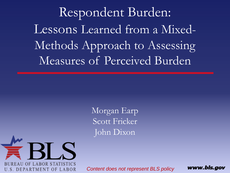Respondent Burden: Lessons Learned from a Mixed-Methods Approach to Assessing Measures of Perceived Burden

> Morgan Earp Scott Fricker John Dixon



*Content does not represent BLS policy*

www.bls.gov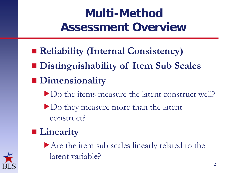#### **Multi-Method Assessment Overview**

- **Reliability (Internal Consistency)**
- **Distinguishability of Item Sub Scales**
- **Dimensionality** 
	- Do the items measure the latent construct well?
	- Do they measure more than the latent construct?
- **Linearity**

Are the item sub scales linearly related to the latent variable?

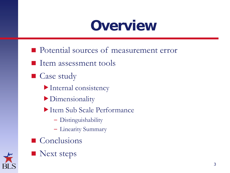### **Overview**

- **Potential sources of measurement error**
- $\blacksquare$  Item assessment tools
- Case study
	- Internal consistency
	- Dimensionality
	- Item Sub Scale Performance
		- Distinguishability
		- Linearity Summary
- Conclusions



Next steps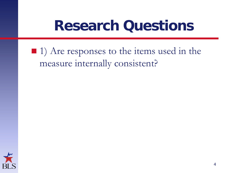#### **Research Questions**

#### ■ 1) Are responses to the items used in the measure internally consistent?

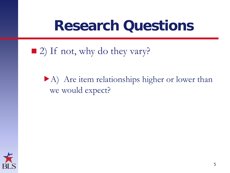#### **Research Questions**

#### ■ 2) If not, why do they vary?

#### A) Are item relationships higher or lower than we would expect?

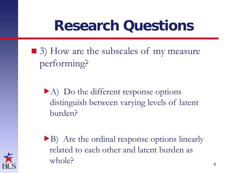### **Research Questions**

■ 3) How are the subscales of my measure performing?

A) Do the different response options distinguish between varying levels of latent burden?

B) Are the ordinal response options linearly related to each other and latent burden as whole?

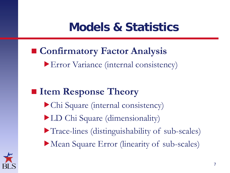#### **Models & Statistics**

#### **Confirmatory Factor Analysis**

Error Variance (internal consistency)

#### ■ Item Response Theory

- Chi Square (internal consistency) LD Chi Square (dimensionality)
- Trace-lines (distinguishability of sub-scales)
- Mean Square Error (linearity of sub-scales)

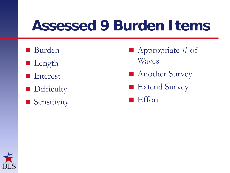### **Assessed 9 Burden Items**

- Burden
- **Length**
- **I**nterest
- **Difficulty**
- **Sensitivity**
- $\blacksquare$  Appropriate # of Waves
- Another Survey
- Extend Survey
- **Effort**

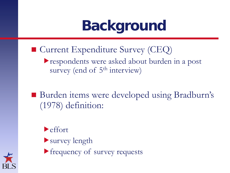## **Background**

- Current Expenditure Survey (CEQ)
	- respondents were asked about burden in a post survey (end of 5<sup>th</sup> interview)
- Burden items were developed using Bradburn's (1978) definition:
	- effort
	- survey length
	- frequency of survey requests

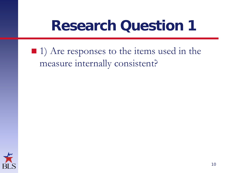### **Research Question 1**

#### $\blacksquare$  1) Are responses to the items used in the measure internally consistent?

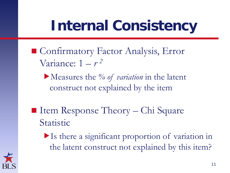## **Internal Consistency**

- Confirmatory Factor Analysis, Error Variance:  $1 - r^2$ 
	- Measures the *% of variation* in the latent construct not explained by the item
- $\blacksquare$  Item Response Theory Chi Square Statistic
	- Is there a significant proportion of variation in the latent construct not explained by this item?

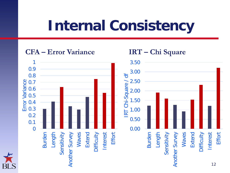## **Internal Consistency**

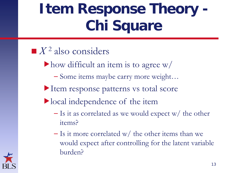## **Item Response Theory - Chi Square**

- $\blacksquare$ *X*<sup>2</sup> also considers
	- $\blacktriangleright$  how difficult an item is to agree w/
		- Some items maybe carry more weight…
	- Item response patterns vs total score
	- local independence of the item
		- $-$  Is it as correlated as we would expect w/ the other items?
		- $-$  Is it more correlated w/ the other items than we would expect after controlling for the latent variable burden?

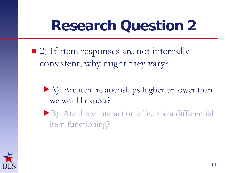## **Research Question 2**

- 2) If item responses are not internally consistent, why might they vary?
	- A) Are item relationships higher or lower than we would expect?
	- B) Are there interaction effects aka differential item functioning?

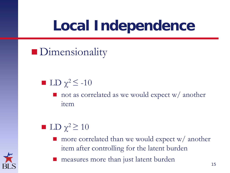## **Local Independence**

**Dimensionality** 

- LD  $\chi^2$   $\leq$  -10
	- not as correlated as we would expect w/ another item
- LD  $\chi^2 \geq 10$ 
	- more correlated than we would expect w/ another item after controlling for the latent burden
	- measures more than just latent burden

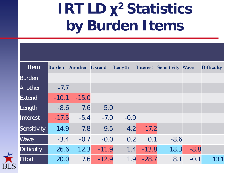## **IRT LD χ2 Statistics by Burden Items**

| Item              | <b>Burden</b> | Another | <b>Extend</b> | Length | Interest | <b>Sensitivity Wave</b> |        | <b>Difficulty</b> |
|-------------------|---------------|---------|---------------|--------|----------|-------------------------|--------|-------------------|
| <b>Burden</b>     |               |         |               |        |          |                         |        |                   |
| <b>Another</b>    | $-7.7$        |         |               |        |          |                         |        |                   |
| Extend            | $-10.1$       | $-15.0$ |               |        |          |                         |        |                   |
| Length            | $-8.6$        | 7.6     | 5.0           |        |          |                         |        |                   |
| Interest          | $-17.5$       | $-5.4$  | $-7.0$        | $-0.9$ |          |                         |        |                   |
| Sensitivity       | 14.9          | 7.8     | $-9.5$        | $-4.2$ | $-17.2$  |                         |        |                   |
| <b>Wave</b>       | $-3.4$        | $-0.7$  | $-0.0$        | 0.2    | 0.1      | $-8.6$                  |        |                   |
| <b>Difficulty</b> | 26.6          | 12.3    | $-11.9$       | 1.4    | $-13.8$  | 18.3                    | $-8.8$ |                   |
| <b>Effort</b>     | 20.0          | 7.6     | $-12.9$       | 1.9    | $-28.7$  | 8.1                     | $-0.1$ | 13.1              |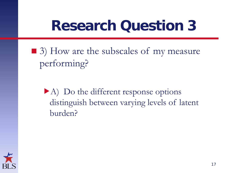## **Research Question 3**

■ 3) How are the subscales of my measure performing?

A) Do the different response options distinguish between varying levels of latent burden?

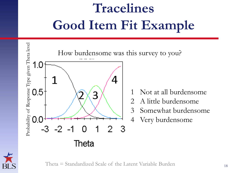# **Tracelines Good Item Fit Example**



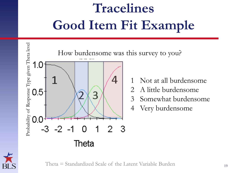# **Tracelines Good Item Fit Example**





Theta = Standardized Scale of the Latent Variable Burden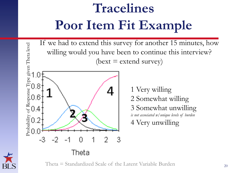## **Tracelines Poor Item Fit Example**

If we had to extend this survey for another 15 minutes, how willing would you have been to continue this interview?  $(bext = extend survey)$ 



1 Very willing 2 Somewhat willing 3 Somewhat unwilling *is not associated w/unique levels of burden* 4 Very unwilling



Theta  $=$  Standardized Scale of the Latent Variable Burden  $_{20}$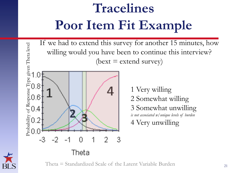## **Tracelines Poor Item Fit Example**

If we had to extend this survey for another 15 minutes, how willing would you have been to continue this interview?  $(bext = extend survey)$ 



1 Very willing 2 Somewhat willing 3 Somewhat unwilling *is not associated w/unique levels of burden* 4 Very unwilling



Theta  $=$  Standardized Scale of the Latent Variable Burden  $_{21}$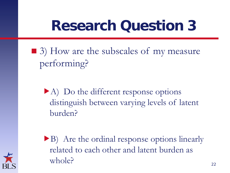## **Research Question 3**

■ 3) How are the subscales of my measure performing?

A) Do the different response options distinguish between varying levels of latent burden?

B) Are the ordinal response options linearly related to each other and latent burden as whole?

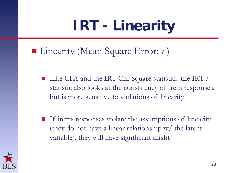# **IRT - Linearity**

#### ■ Linearity (Mean Square Error: *t*)

- Like CFA and the IRT Chi-Square statistic, the IRT *t* statistic also looks at the consistency of item responses, but is more sensitive to violations of linearity
- If items responses violate the assumptions of linearity (they do not have a linear relationship w/ the latent variable), they will have significant misfit

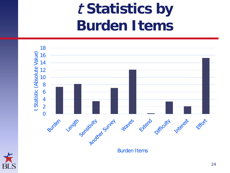## <sup>t</sup>**Statistics by Burden Items**



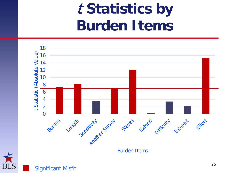## <sup>t</sup>**Statistics by Burden Items**

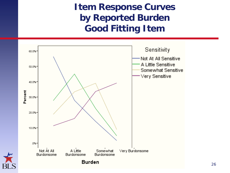#### **Item Response Curves by Reported Burden Good Fitting Item**



26

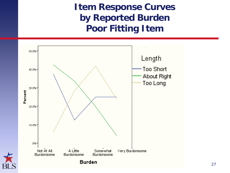**Item Response Curves by Reported Burden Poor Fitting Item**



27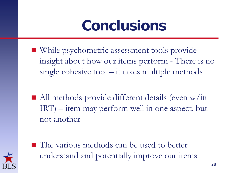## **Conclusions**

- While psychometric assessment tools provide insight about how our items perform - There is no single cohesive tool – it takes multiple methods
- All methods provide different details (even w/in IRT) – item may perform well in one aspect, but not another



■ The various methods can be used to better understand and potentially improve our items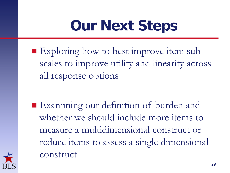## **Our Next Steps**

Exploring how to best improve item subscales to improve utility and linearity across all response options

■ Examining our definition of burden and whether we should include more items to measure a multidimensional construct or reduce items to assess a single dimensional construct